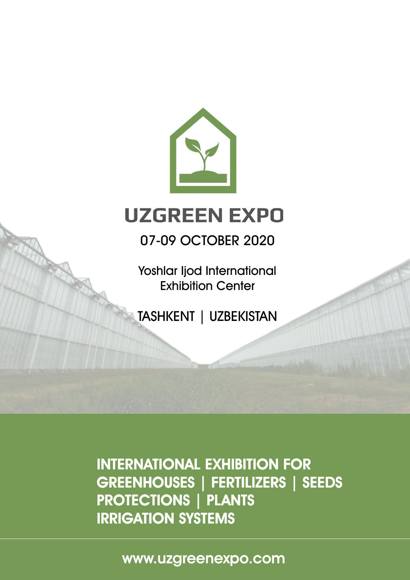

# **UZGREEN EXPO**

## 07-09 OCTOBER 2020

Yoshlar Ijod International Exhibition Center

TASHKENT | UZBEKISTAN

INTERNATIONAL EXHIBITION FOR GREENHOUSES | FERTILIZERS | SEEDS PROTECTIONS | PLANTS IRRIGATION SYSTEMS

www.uzgreenexpo.com